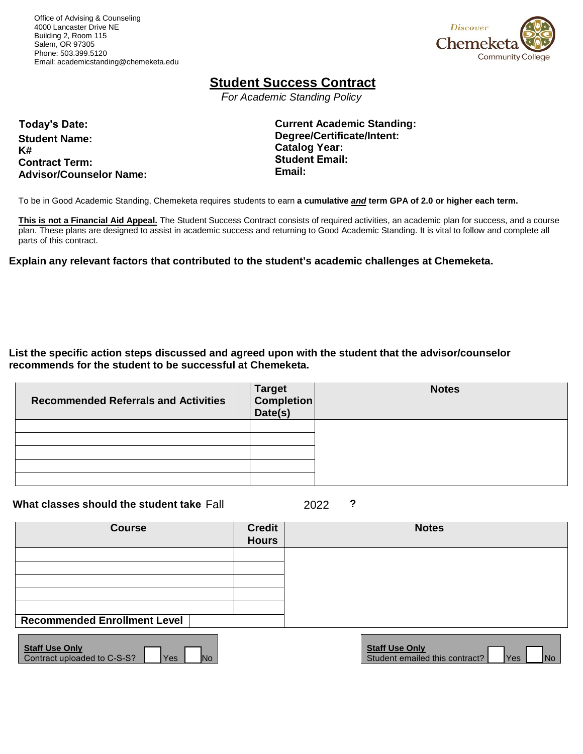Office of Advising & Counseling 4000 Lancaster Drive NE Building 2, Room 115 Salem, OR 97305 Phone: 503.399.5120 Email[: academicstanding@chemeketa.edu](mailto:academicstanding@chemeketa.edu)



## **Student Success Contract**

*For Academic Standing Policy*

**Today's Date: Student Name: K# Contract Term: Advisor/Counselor Name:** **Current Academic Standing: Degree/Certificate/Intent: Catalog Year: Student Email: Email:** 

To be in Good Academic Standing, Chemeketa requires students to earn **a cumulative** *and* **term GPA of 2.0 or higher each term.**

**This is not a Financial Aid Appeal.** The Student Success Contract consists of required activities, an academic plan for success, and a course plan. These plans are designed to assist in academic success and returning to Good Academic Standing. It is vital to follow and complete all parts of this contract.

**Explain any relevant factors that contributed to the student's academic challenges at Chemeketa.** 

**List the specific action steps discussed and agreed upon with the student that the advisor/counselor recommends for the student to be successful at Chemeketa.**

| <b>Recommended Referrals and Activities</b> | Target<br>Completion<br>Date(s) | <b>Notes</b> |
|---------------------------------------------|---------------------------------|--------------|
|                                             |                                 |              |
|                                             |                                 |              |
|                                             |                                 |              |
|                                             |                                 |              |
|                                             |                                 |              |

**What classes should the student take Fall**  $\binom{2022}{202}$  **?** Fall 2022

| <b>Course</b>                                                                        | <b>Credit</b><br><b>Hours</b> | <b>Notes</b>                                                                            |
|--------------------------------------------------------------------------------------|-------------------------------|-----------------------------------------------------------------------------------------|
|                                                                                      |                               |                                                                                         |
|                                                                                      |                               |                                                                                         |
|                                                                                      |                               |                                                                                         |
| <b>Recommended Enrollment Level</b>                                                  |                               |                                                                                         |
| <b>Staff Use Only</b><br>Contract uploaded to C-S-S?<br>N <sub>o</sub><br><b>Yes</b> |                               | <b>Staff Use Only</b><br>Student emailed this contract?<br><b>Yes</b><br>N <sub>o</sub> |